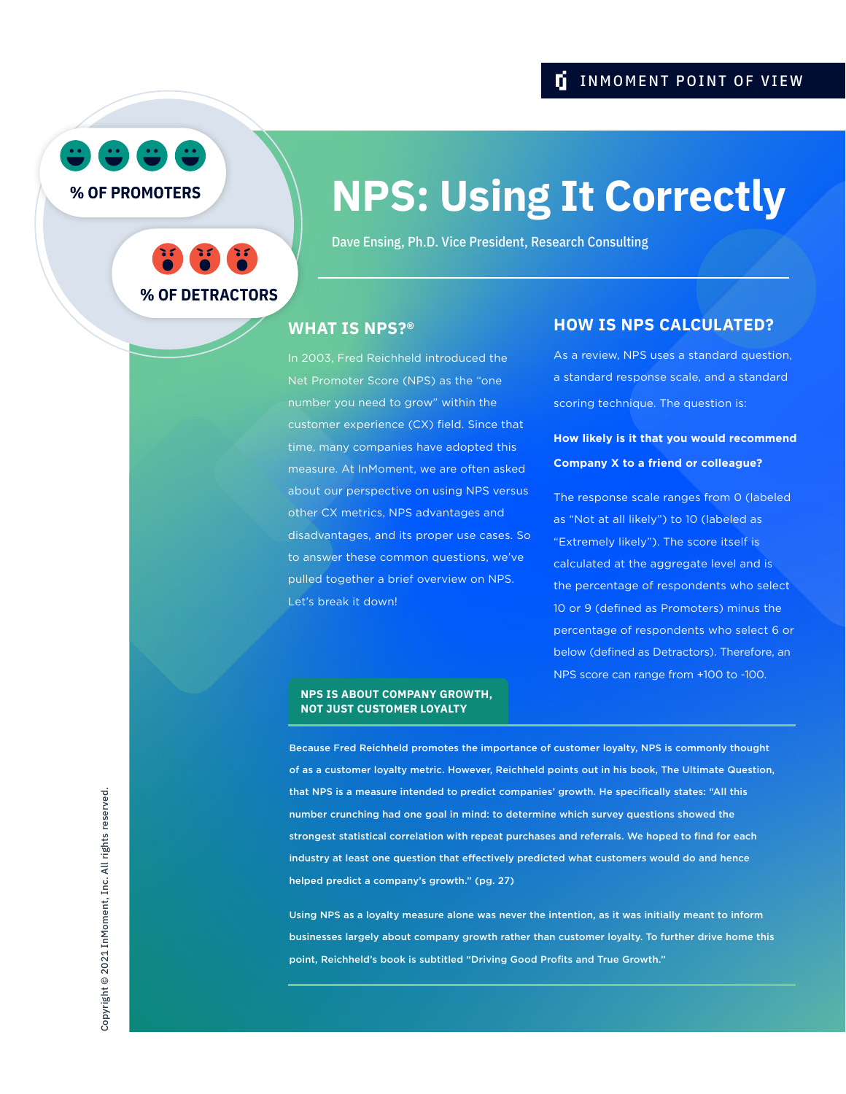## **I** INMOMENT POINT OF VIEW



**% OF PROMOTERS**



# **NPS: Using It Correctly**

Dave Ensing, Ph.D. Vice President, Research Consulting

### **WHAT IS NPS?®**

In 2003, Fred Reichheld introduced the Net Promoter Score (NPS) as the "one number you need to grow" within the customer experience (CX) field. Since that time, many companies have adopted this measure. At InMoment, we are often asked about our perspective on using NPS versus other CX metrics, NPS advantages and disadvantages, and its proper use cases. So to answer these common questions, we've pulled together a brief overview on NPS. Let's break it down!

## **HOW IS NPS CALCULATED?**

As a review, NPS uses a standard question, a standard response scale, and a standard scoring technique. The question is:

## **How likely is it that you would recommend Company X to a friend or colleague?**

The response scale ranges from 0 (labeled as "Not at all likely") to 10 (labeled as "Extremely likely"). The score itself is calculated at the aggregate level and is the percentage of respondents who select 10 or 9 (defined as Promoters) minus the percentage of respondents who select 6 or below (defined as Detractors). Therefore, an NPS score can range from +100 to -100.

#### **NPS IS ABOUT COMPANY GROWTH, NOT JUST CUSTOMER LOYALTY**

Because Fred Reichheld promotes the importance of customer loyalty, NPS is commonly thought of as a customer loyalty metric. However, Reichheld points out in his book, The Ultimate Question, that NPS is a measure intended to predict companies' growth. He specifically states: "All this number crunching had one goal in mind: to determine which survey questions showed the strongest statistical correlation with repeat purchases and referrals. We hoped to find for each industry at least one question that effectively predicted what customers would do and hence helped predict a company's growth." (pg. 27)

Using NPS as a loyalty measure alone was never the intention, as it was initially meant to inform businesses largely about company growth rather than customer loyalty. To further drive home this point, Reichheld's book is subtitled "Driving Good Profits and True Growth."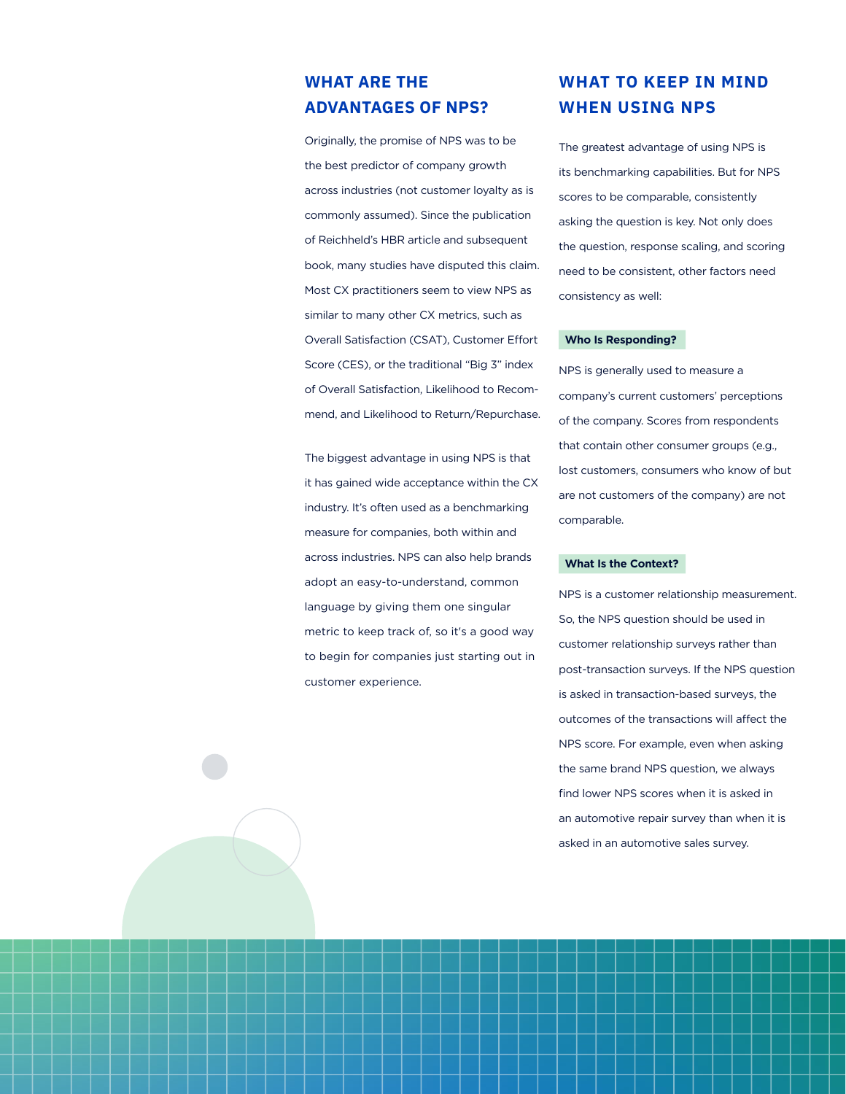## **WHAT ARE THE ADVANTAGES OF NPS?**

Originally, the promise of NPS was to be the best predictor of company growth across industries (not customer loyalty as is commonly assumed). Since the publication of Reichheld's HBR article and subsequent book, many studies have disputed this claim. Most CX practitioners seem to view NPS as similar to many other CX metrics, such as Overall Satisfaction (CSAT), Customer Effort Score (CES), or the traditional "Big 3" index of Overall Satisfaction, Likelihood to Recommend, and Likelihood to Return/Repurchase.

The biggest advantage in using NPS is that it has gained wide acceptance within the CX industry. It's often used as a benchmarking measure for companies, both within and across industries. NPS can also help brands adopt an easy-to-understand, common language by giving them one singular metric to keep track of, so it's a good way to begin for companies just starting out in customer experience.

## **WHAT TO KEEP IN MIND WHEN USING NPS**

The greatest advantage of using NPS is its benchmarking capabilities. But for NPS scores to be comparable, consistently asking the question is key. Not only does the question, response scaling, and scoring need to be consistent, other factors need consistency as well:

#### **Who Is Responding?**

NPS is generally used to measure a company's current customers' perceptions of the company. Scores from respondents that contain other consumer groups (e.g., lost customers, consumers who know of but are not customers of the company) are not comparable.

#### **What Is the Context?**

NPS is a customer relationship measurement. So, the NPS question should be used in customer relationship surveys rather than post-transaction surveys. If the NPS question is asked in transaction-based surveys, the outcomes of the transactions will affect the NPS score. For example, even when asking the same brand NPS question, we always find lower NPS scores when it is asked in an automotive repair survey than when it is asked in an automotive sales survey.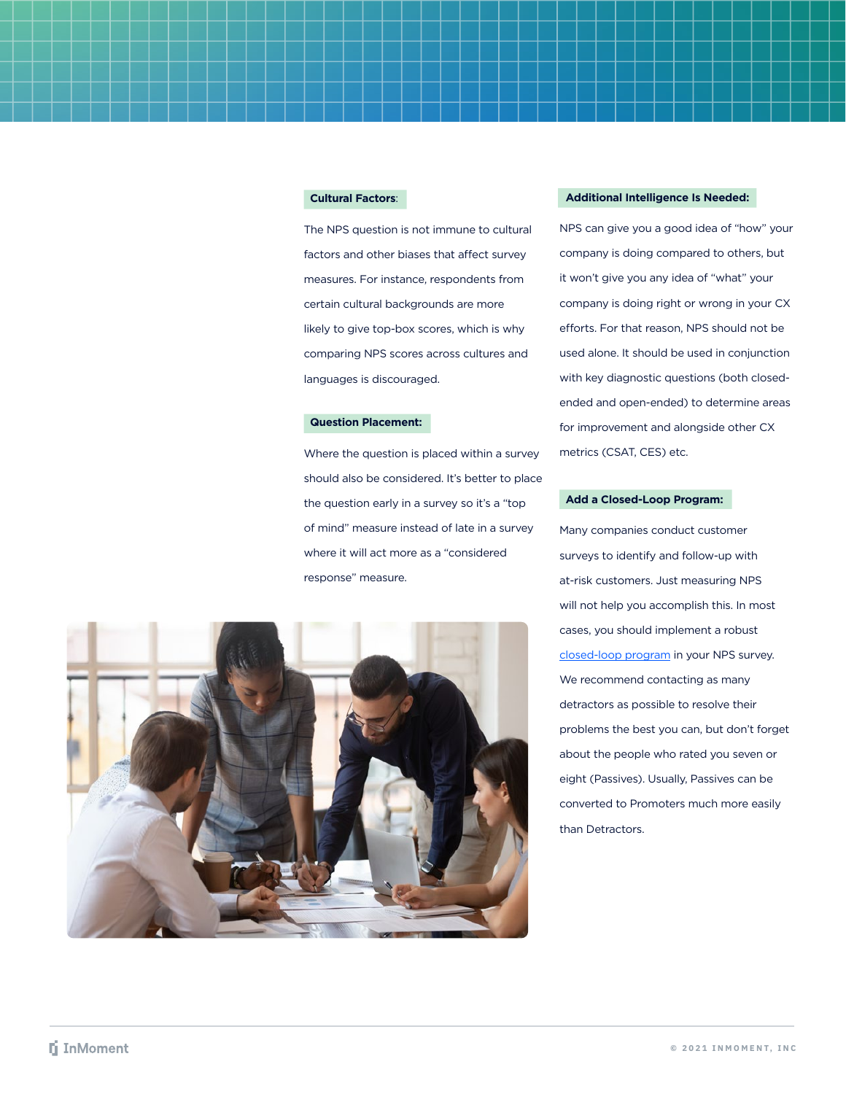#### **Cultural Factors**:

The NPS question is not immune to cultural factors and other biases that affect survey measures. For instance, respondents from certain cultural backgrounds are more likely to give top-box scores, which is why comparing NPS scores across cultures and languages is discouraged.

#### **Question Placement:**

Where the question is placed within a survey should also be considered. It's better to place the question early in a survey so it's a "top of mind" measure instead of late in a survey where it will act more as a "considered response" measure.



#### **Additional Intelligence Is Needed:**

NPS can give you a good idea of "how" your company is doing compared to others, but it won't give you any idea of "what" your company is doing right or wrong in your CX efforts. For that reason, NPS should not be used alone. It should be used in conjunction with key diagnostic questions (both closedended and open-ended) to determine areas for improvement and alongside other CX metrics (CSAT, CES) etc.

#### **Add a Closed-Loop Program:**

Many companies conduct customer surveys to identify and follow-up with at-risk customers. Just measuring NPS will not help you accomplish this. In most cases, you should implement a robust [closed-loop program](https://inmoment.com/resource/6-steps-for-setting-up-a-top-notch-case-management-program/) in your NPS survey. We recommend contacting as many detractors as possible to resolve their problems the best you can, but don't forget about the people who rated you seven or eight (Passives). Usually, Passives can be converted to Promoters much more easily than Detractors.